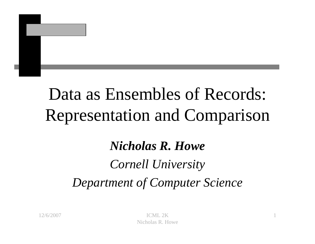## Data as Ensembles of Records: Representation and Comparison

#### *Nicholas R. Howe*

#### *Cornell University Department of Computer Science*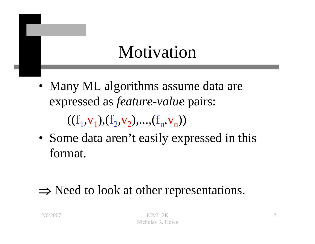#### Motivation

• Many ML algorithms assume data are expressed as *feature-value* pairs:

 $((f_1,v_1),(f_2,v_2),...,(f_n,v_n))$ 

• Some data aren't easily expressed in this format.

#### ⇒ Need to look at other representations.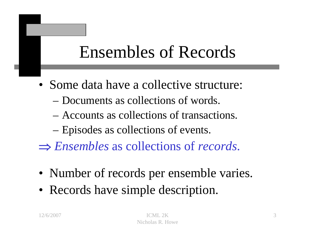### Ensembles of Records

- Some data have a collective structure: – Documents as collections of words.
	-
	- Accounts as collections of transactions.
	- –Episodes as collections of events.
- ⇒ *Ensembles* as collections of *records*.
- Number of records per ensemble varies.
- Records have simple description.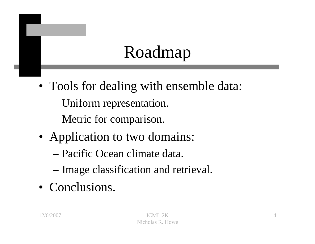## Roadmap

- Tools for dealing with ensemble data:
	- Uniform representation.
	- Metric for comparison.
- Application to two domains:
	- Pacific Ocean climate data.
	- Image classification and retrieval.
- Conclusions.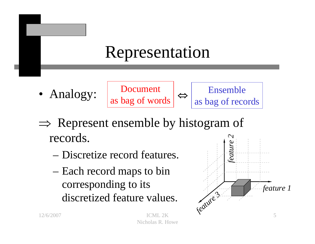## Representation

⇔

• Analogy:

Document as bag of words

Ensembleas bag of records

- $\Rightarrow$  Represent ensemble by histogram of records.
	- Discretize record features.
	- – Each record maps to bin corresponding to its discretized feature values.



12/6/2007 ICML 2KNicholas R. Howe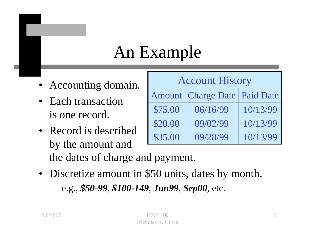## An Example

- Accounting domain.
- Each transactionis one record.
- Record is described by the amount and the dates of charge and payment.

| <b>Account History</b> |                                           |          |  |  |
|------------------------|-------------------------------------------|----------|--|--|
|                        | <b>Amount   Charge Date   Paid Date  </b> |          |  |  |
| \$75.00                | 06/16/99                                  | 10/13/99 |  |  |
| \$20.00                | 09/02/99                                  | 10/13/99 |  |  |
| \$35.00                | 09/28/99                                  | 10/13/99 |  |  |

• Discretize amount in \$50 units, dates by month.

e.g., *\$50-99*, *\$100-149*, *Jun99*, *Sep00*, etc.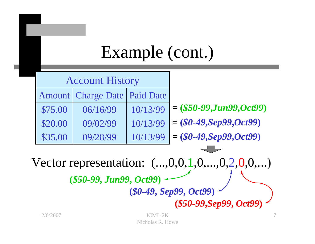## Example (cont.)

| <b>Account History</b> |                                  |          |                               |
|------------------------|----------------------------------|----------|-------------------------------|
|                        | Amount   Charge Date   Paid Date |          |                               |
| \$75.00                | 06/16/99                         | 10/13/99 | $=$ (\$50-99, Jun 99, Oct 99) |
| \$20.00                | 09/02/99                         | 10/13/99 | $=$ (\$0-49, Sep 99, Oct 99)  |
| \$35.00                | 09/28/99                         | 10/13/99 | $= (\$0-49, Sep99, Oct99)$    |

Vector representation: (...,0,0,1,0,...,0,2,0,0,...) **(***\$50-99***,** *Jun99***,** *Oct99* **) (***\$0-49***,** *Sep99***,** *Oct99* **) (***\$50-99***,***Sep99***,** *Oct99* **)**

12/6/2007 ICML 2KNicholas R. Howe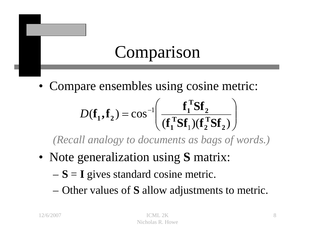## Comparison

• Compare ensembles using cosine metric: ⎞ **T**

$$
D(\mathbf{f}_1, \mathbf{f}_2) = \cos^{-1}\left(\frac{\mathbf{f}_1^T \mathbf{S} \mathbf{f}_2}{(\mathbf{f}_1^T \mathbf{S} \mathbf{f}_1)(\mathbf{f}_2^T \mathbf{S} \mathbf{f}_2)}\right)
$$

*(Recall analogy to documents as bags of words.)*

- Note generalization using **S** matrix:
	- **S** = **I** gives standard cosine metric.
	- Other values of **S** allow adjustments to metric.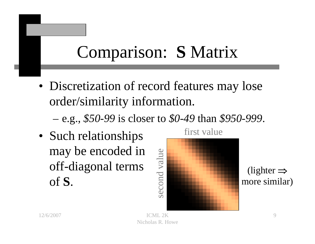# Comparison: **S** Matrix

• Discretization of record features may lose order/similarity information.

e.g., *\$50-99* is closer to *\$0-49* than *\$950-999*.

• Such relationships may be encoded in off-diagonal terms of **S**.



first value

⇒ more similar)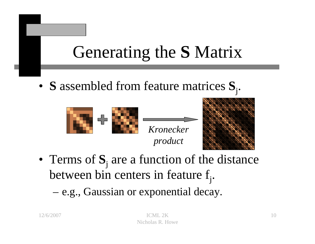# Generating the **S** Matrix

• **S** assembled from feature matrices **S**j .





• Terms of  $S_j$  are a function of the distance between bin centers in feature  $f_j$ . e.g., Gaussian or exponential decay.

–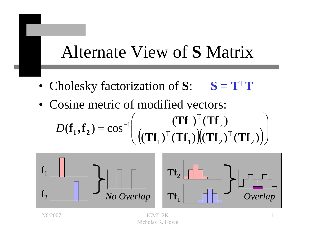### Alternate View of **S** Matrix

- Cholesky factorization of **S**: **S** <sup>=</sup> **T**  $\bf T$ **T**
- Cosine metric of modified vectors:

$$
D(\mathbf{f}_1, \mathbf{f}_2) = \cos^{-1}\left(\frac{(\mathbf{T}\mathbf{f}_1)^T (\mathbf{T}\mathbf{f}_2)}{((\mathbf{T}\mathbf{f}_1)^T (\mathbf{T}\mathbf{f}_1)((\mathbf{T}\mathbf{f}_2)^T (\mathbf{T}\mathbf{f}_2))}\right)
$$



12/6/2007 ICML 2KNicholas R. Howe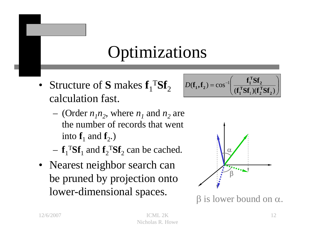## **Optimizations**

 $\bullet$   $\,$  <code>Structure of  $\bf S$  makes  ${\bf f}_1$   $\rm T S {\bf f}_2$ </code> calculation fast.

$$
D(\mathbf{f}_1, \mathbf{f}_2) = \cos^{-1}\left(\frac{\mathbf{f}_1^T \mathbf{S} \mathbf{f}_2}{(\mathbf{f}_1^T \mathbf{S} \mathbf{f}_1)(\mathbf{f}_2^T \mathbf{S} \mathbf{f}_2)}\right)
$$

- (Order  $n_1 n_2$ , where  $n_1$  and  $n_2$  are the number of records that went into  $\mathbf{f}_1$  and  $\mathbf{f}_2$ .)
- $\mathbf{f}_1^{\ \mathrm{T}}\mathbf{S}\mathbf{f}_1^{\ \mathrm{T}}$  and  $\mathbf{f}_2^{\ \mathrm{T}}\mathbf{S}\mathbf{f}_2^{\ \mathrm{T}}$  can be cached.
- Nearest neighbor search can be pruned by projection onto lower-dimensional spaces.



β is lower bound on α.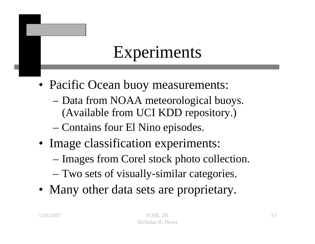## Experiments

- Pacific Ocean buoy measurements:
	- Data from NOAA meteorological buoys. (Available from UCI KDD repository.)
	- Contains four El Nino episodes.
- Image classification experiments:
	- –Images from Corel stock photo collection.
	- –Two sets of visually-similar categories.
- Many other data sets are proprietary.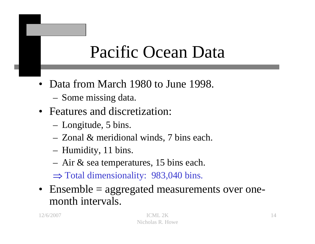### Pacific Ocean Data

- Data from March 1980 to June 1998.
	- Some missing data.
- Features and discretization:
	- Longitude, 5 bins.
	- Zonal & meridional winds, 7 bins each.
	- Humidity, 11 bins.
	- Air & sea temperatures, 15 bins each.
	- ⇒ Total dimensionality: 983,040 bins.
- Ensemble = aggregated measurements over onemonth intervals.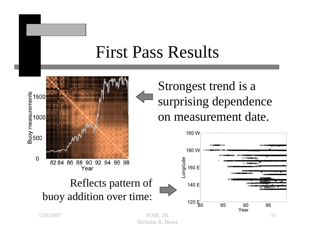#### First Pass Results



Reflects pattern of buoy addition over time:

Strongest trend is a surprising dependence on measurement date.



12/6/2007 ICML 2KNicholas R. Howe 15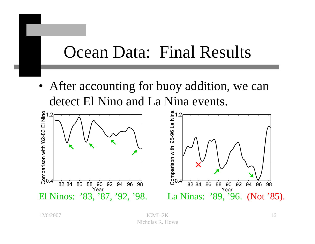#### Ocean Data: Final Results

• After accounting for buoy addition, we can detect El Nino and La Nina events.



12/6/2007 ICML 2KNicholas R. Howe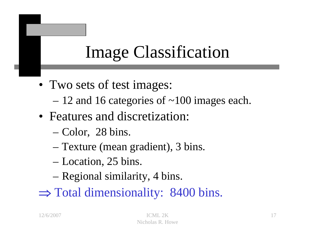## Image Classification

- Two sets of test images: 12 and 16 categories of ~100 images each.
- Features and discretization:
	- –Color, 28 bins.
	- Texture (mean gradient), 3 bins.
	- –Location, 25 bins.
	- Regional similarity, 4 bins.
- ⇒ Total dimensionality: 8400 bins.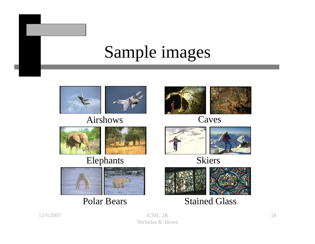## Sample images





#### Airshows











#### Elephants



Polar Bears





#### Skiers



#### Stained Glass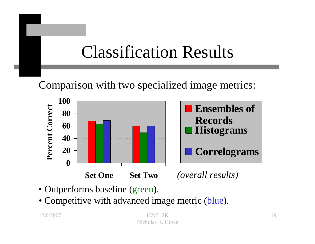## Classification Results

Comparison with two specialized image metrics:



- Outperforms baseline (green).
- Competitive with advanced image metric (blue).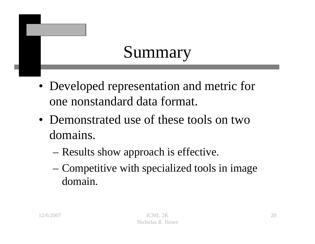## Summary

- Developed representation and metric for one nonstandard data format.
- Demonstrated use of these tools on two domains.
	- –Results show approach is effective.
	- – Competitive with specialized tools in image domain.